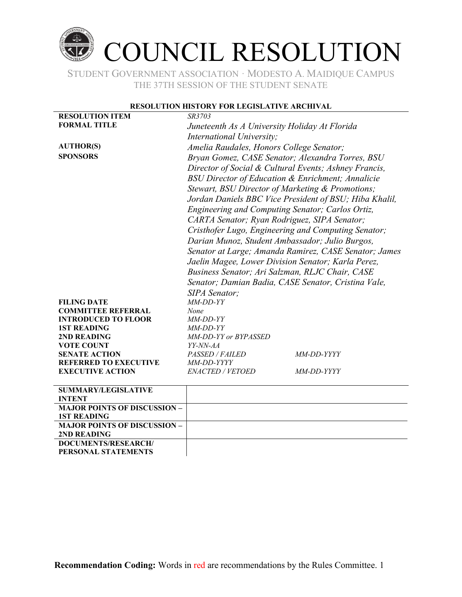

STUDENT GOVERNMENT ASSOCIATION ∙ MODESTO A. MAIDIQUE CAMPUS THE 37TH SESSION OF THE STUDENT SENATE

#### **RESOLUTION HISTORY FOR LEGISLATIVE ARCHIVAL**

| <b>RESOLUTION ITEM</b>                                | SR3703                                                                                                      |                                                       |  |
|-------------------------------------------------------|-------------------------------------------------------------------------------------------------------------|-------------------------------------------------------|--|
| <b>FORMAL TITLE</b>                                   | Juneteenth As A University Holiday At Florida                                                               |                                                       |  |
|                                                       | International University;                                                                                   |                                                       |  |
| <b>AUTHOR(S)</b>                                      |                                                                                                             |                                                       |  |
| <b>SPONSORS</b>                                       | Amelia Raudales, Honors College Senator;                                                                    |                                                       |  |
|                                                       | Bryan Gomez, CASE Senator; Alexandra Torres, BSU                                                            |                                                       |  |
|                                                       |                                                                                                             | Director of Social & Cultural Events; Ashney Francis, |  |
|                                                       | <b>BSU Director of Education &amp; Enrichment; Annalicie</b>                                                |                                                       |  |
|                                                       | Stewart, BSU Director of Marketing & Promotions;                                                            |                                                       |  |
|                                                       | Jordan Daniels BBC Vice President of BSU; Hiba Khalil,                                                      |                                                       |  |
|                                                       | Engineering and Computing Senator; Carlos Ortiz,                                                            |                                                       |  |
|                                                       | CARTA Senator; Ryan Rodriguez, SIPA Senator;                                                                |                                                       |  |
|                                                       | Cristhofer Lugo, Engineering and Computing Senator;                                                         |                                                       |  |
|                                                       | Darian Munoz, Student Ambassador; Julio Burgos,                                                             |                                                       |  |
|                                                       | Senator at Large; Amanda Ramirez, CASE Senator; James<br>Jaelin Magee, Lower Division Senator; Karla Perez, |                                                       |  |
|                                                       |                                                                                                             |                                                       |  |
|                                                       |                                                                                                             |                                                       |  |
|                                                       | Business Senator; Ari Salzman, RLJC Chair, CASE<br>Senator; Damian Badia, CASE Senator, Cristina Vale,      |                                                       |  |
|                                                       |                                                                                                             |                                                       |  |
|                                                       | <b>SIPA</b> Senator;                                                                                        |                                                       |  |
| <b>FILING DATE</b>                                    | $MM-DD-YY$                                                                                                  |                                                       |  |
| <b>COMMITTEE REFERRAL</b>                             | None                                                                                                        |                                                       |  |
| <b>INTRODUCED TO FLOOR</b>                            | MM-DD-YY                                                                                                    |                                                       |  |
| <b>1ST READING</b>                                    | MM-DD-YY                                                                                                    |                                                       |  |
| 2ND READING                                           | MM-DD-YY or BYPASSED                                                                                        |                                                       |  |
| <b>VOTE COUNT</b>                                     | YY-NN-AA                                                                                                    |                                                       |  |
| <b>SENATE ACTION</b>                                  | PASSED / FAILED                                                                                             | <i>MM-DD-YYYY</i>                                     |  |
| <b>REFERRED TO EXECUTIVE</b>                          | MM-DD-YYYY                                                                                                  |                                                       |  |
| <b>EXECUTIVE ACTION</b>                               | ENACTED / VETOED                                                                                            | <i>MM-DD-YYYY</i>                                     |  |
| <b>SUMMARY/LEGISLATIVE</b>                            |                                                                                                             |                                                       |  |
| <b>INTENT</b>                                         |                                                                                                             |                                                       |  |
| <b>MAJOR POINTS OF DISCUSSION -</b><br>1 CT DE A DINC |                                                                                                             |                                                       |  |

| <b>1ST READING</b>                  |  |
|-------------------------------------|--|
| <b>MAJOR POINTS OF DISCUSSION -</b> |  |
| 2ND READING                         |  |
| DOCUMENTS/RESEARCH/                 |  |
| PERSONAL STATEMENTS                 |  |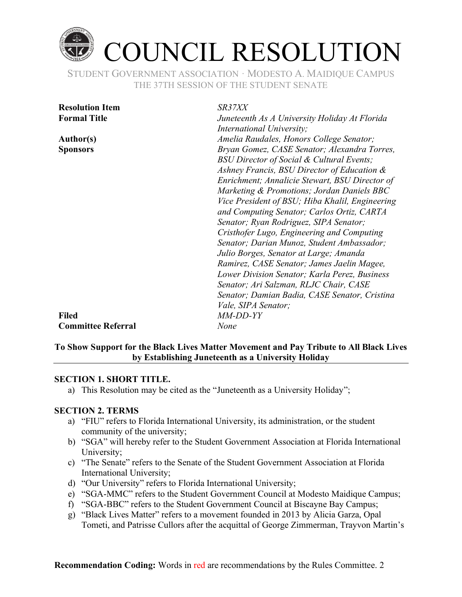

| <b>Resolution Item</b>    | SR37XX                                                                |
|---------------------------|-----------------------------------------------------------------------|
| <b>Formal Title</b>       | Juneteenth As A University Holiday At Florida                         |
|                           | International University;<br>Amelia Raudales, Honors College Senator; |
| <b>Author(s)</b>          |                                                                       |
| <b>Sponsors</b>           | Bryan Gomez, CASE Senator; Alexandra Torres,                          |
|                           | BSU Director of Social & Cultural Events;                             |
|                           | Ashney Francis, BSU Director of Education &                           |
|                           | Enrichment; Annalicie Stewart, BSU Director of                        |
|                           | Marketing & Promotions; Jordan Daniels BBC                            |
|                           | Vice President of BSU; Hiba Khalil, Engineering                       |
|                           | and Computing Senator; Carlos Ortiz, CARTA                            |
|                           | Senator; Ryan Rodriguez, SIPA Senator;                                |
|                           | Cristhofer Lugo, Engineering and Computing                            |
|                           | Senator; Darian Munoz, Student Ambassador;                            |
|                           | Julio Borges, Senator at Large; Amanda                                |
|                           | Ramirez, CASE Senator; James Jaelin Magee,                            |
|                           | Lower Division Senator; Karla Perez, Business                         |
|                           | Senator; Ari Salzman, RLJC Chair, CASE                                |
|                           | Senator; Damian Badia, CASE Senator, Cristina                         |
|                           | <i>Vale, SIPA Senator;</i>                                            |
| <b>Filed</b>              | MM-DD-YY                                                              |
| <b>Committee Referral</b> | None                                                                  |

### **To Show Support for the Black Lives Matter Movement and Pay Tribute to All Black Lives by Establishing Juneteenth as a University Holiday**

### **SECTION 1. SHORT TITLE.**

a) This Resolution may be cited as the "Juneteenth as a University Holiday";

### **SECTION 2. TERMS**

- a) "FIU" refers to Florida International University, its administration, or the student community of the university;
- b) "SGA" will hereby refer to the Student Government Association at Florida International University;
- c) "The Senate" refers to the Senate of the Student Government Association at Florida International University;
- d) "Our University" refers to Florida International University;
- e) "SGA-MMC" refers to the Student Government Council at Modesto Maidique Campus;
- f) "SGA-BBC" refers to the Student Government Council at Biscayne Bay Campus;
- g) "Black Lives Matter" refers to a movement founded in 2013 by Alicia Garza, Opal Tometi, and Patrisse Cullors after the acquittal of George Zimmerman, Trayvon Martin's

**Recommendation Coding:** Words in red are recommendations by the Rules Committee. 2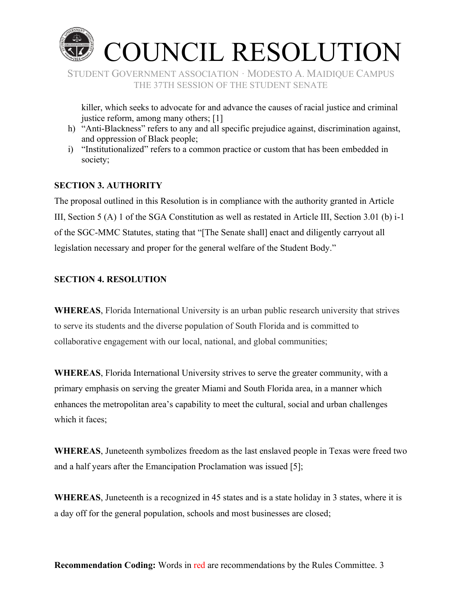

killer, which seeks to advocate for and advance the causes of racial justice and criminal justice reform, among many others; [1]

- h) "Anti-Blackness" refers to any and all specific prejudice against, discrimination against, and oppression of Black people;
- i) "Institutionalized" refers to a common practice or custom that has been embedded in society;

### **SECTION 3. AUTHORITY**

The proposal outlined in this Resolution is in compliance with the authority granted in Article III, Section 5 (A) 1 of the SGA Constitution as well as restated in Article III, Section 3.01 (b) i-1 of the SGC-MMC Statutes, stating that "[The Senate shall] enact and diligently carry out all legislation necessary and proper for the general welfare of the Student Body."

# **SECTION 4. RESOLUTION**

**WHEREAS**, Florida International University is an urban public research university that strives to serve its students and the diverse population of South Florida and is committed to collaborative engagement with our local, national, and global communities;

**WHEREAS**, Florida International University strives to serve the greater community, with a primary emphasis on serving the greater Miami and South Florida area, in a manner which enhances the metropolitan area's capability to meet the cultural, social and urban challenges which it faces;

**WHEREAS**, Juneteenth symbolizes freedom as the last enslaved people in Texas were freed two and a half years after the Emancipation Proclamation was issued [5];

**WHEREAS**, Juneteenth is a recognized in 45 states and is a state holiday in 3 states, where it is a day off for the general population, schools and most businesses are closed;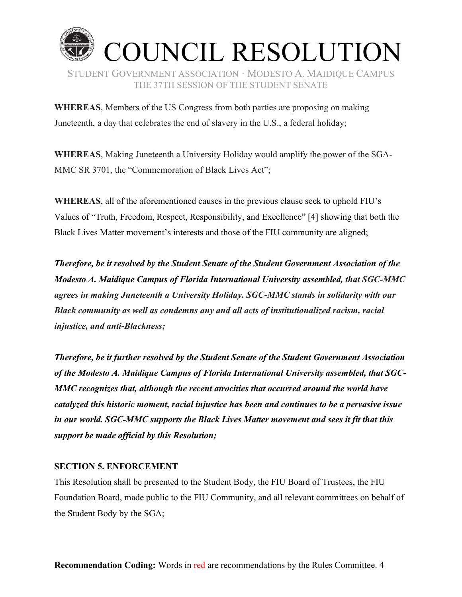

**WHEREAS**, Members of the US Congress from both parties are proposing on making Juneteenth, a day that celebrates the end of slavery in the U.S., a federal holiday;

**WHEREAS**, Making Juneteenth a University Holiday would amplify the power of the SGA-MMC SR 3701, the "Commemoration of Black Lives Act";

**WHEREAS**, all of the aforementioned causes in the previous clause seek to uphold FIU's Values of "Truth, Freedom, Respect, Responsibility, and Excellence" [4] showing that both the Black Lives Matter movement's interests and those of the FIU community are aligned;

*Therefore, be it resolved by the Student Senate of the Student Government Association of the Modesto A. Maidique Campus of Florida International University assembled, that SGC-MMC agrees in making Juneteenth a University Holiday. SGC-MMC stands in solidarity with our Black community as well as condemns any and all acts of institutionalized racism, racial injustice, and anti-Blackness;*

*Therefore, be it further resolved by the Student Senate of the Student Government Association of the Modesto A. Maidique Campus of Florida International University assembled, that SGC-MMC recognizes that, although the recent atrocities that occurred around the world have catalyzed this historic moment, racial injustice has been and continues to be a pervasive issue in our world. SGC-MMC supports the Black Lives Matter movement and sees it fit that this support be made official by this Resolution;*

### **SECTION 5. ENFORCEMENT**

This Resolution shall be presented to the Student Body, the FIU Board of Trustees, the FIU Foundation Board, made public to the FIU Community, and all relevant committees on behalf of the Student Body by the SGA;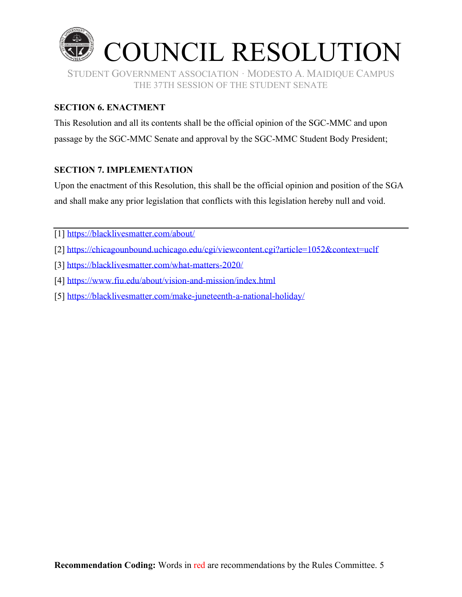

## **SECTION 6. ENACTMENT**

This Resolution and all its contents shall be the official opinion of the SGC-MMC and upon passage by the SGC-MMC Senate and approval by the SGC-MMC Student Body President;

# **SECTION 7. IMPLEMENTATION**

Upon the enactment of this Resolution, this shall be the official opinion and position of the SGA and shall make any prior legislation that conflicts with this legislation hereby null and void.

[1]<https://blacklivesmatter.com/about/>

- [2] <https://chicagounbound.uchicago.edu/cgi/viewcontent.cgi?article=1052&context=uclf>
- [3] <https://blacklivesmatter.com/what-matters-2020/>
- [4]<https://www.fiu.edu/about/vision-and-mission/index.html>
- [5]<https://blacklivesmatter.com/make-juneteenth-a-national-holiday/>